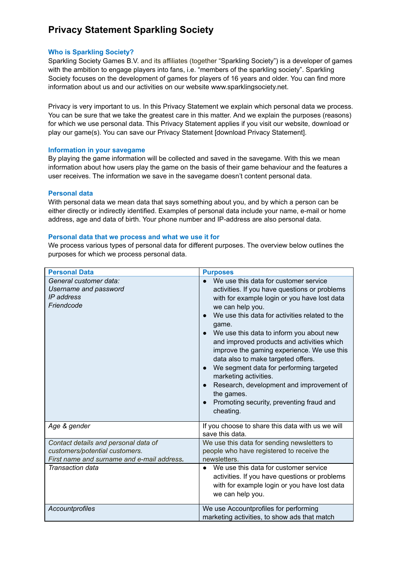# **Privacy Statement Sparkling Society**

#### **Who is Sparkling Society?**

Sparkling Society Games B.V. and its affiliates (together "Sparkling Society") is a developer of games with the ambition to engage players into fans, i.e. "members of the sparkling society". Sparkling Society focuses on the development of games for players of 16 years and older. You can find more information about us and our activities on our website www.sparklingsociety.net.

Privacy is very important to us. In this Privacy Statement we explain which personal data we process. You can be sure that we take the greatest care in this matter. And we explain the purposes (reasons) for which we use personal data. This Privacy Statement applies if you visit our website, download or play our game(s). You can save our Privacy Statement [download Privacy Statement].

#### **Information in your savegame**

By playing the game information will be collected and saved in the savegame. With this we mean information about how users play the game on the basis of their game behaviour and the features a user receives. The information we save in the savegame doesn't content personal data.

## **Personal data**

With personal data we mean data that says something about you, and by which a person can be either directly or indirectly identified. Examples of personal data include your name, e-mail or home address, age and data of birth. Your phone number and IP-address are also personal data.

#### **Personal data that we process and what we use it for**

We process various types of personal data for different purposes. The overview below outlines the purposes for which we process personal data.

| <b>Personal Data</b>                                                                                                 | <b>Purposes</b>                                                                                                                                                                                                                                                                                                                                                                                                                                                                                                                                                                                         |
|----------------------------------------------------------------------------------------------------------------------|---------------------------------------------------------------------------------------------------------------------------------------------------------------------------------------------------------------------------------------------------------------------------------------------------------------------------------------------------------------------------------------------------------------------------------------------------------------------------------------------------------------------------------------------------------------------------------------------------------|
| General customer data:<br>Username and password<br>IP address<br>Friendcode                                          | We use this data for customer service<br>activities. If you have questions or problems<br>with for example login or you have lost data<br>we can help you.<br>We use this data for activities related to the<br>qame.<br>We use this data to inform you about new<br>and improved products and activities which<br>improve the gaming experience. We use this<br>data also to make targeted offers.<br>We segment data for performing targeted<br>$\bullet$<br>marketing activities.<br>Research, development and improvement of<br>the games.<br>Promoting security, preventing fraud and<br>cheating. |
| Age & gender                                                                                                         | If you choose to share this data with us we will<br>save this data.                                                                                                                                                                                                                                                                                                                                                                                                                                                                                                                                     |
| Contact details and personal data of<br>customers/potential customers.<br>First name and surname and e-mail address. | We use this data for sending newsletters to<br>people who have registered to receive the<br>newsletters.                                                                                                                                                                                                                                                                                                                                                                                                                                                                                                |
| Transaction data                                                                                                     | We use this data for customer service<br>activities. If you have questions or problems<br>with for example login or you have lost data<br>we can help you.                                                                                                                                                                                                                                                                                                                                                                                                                                              |
| Accountprofiles                                                                                                      | We use Accountprofiles for performing<br>marketing activities, to show ads that match                                                                                                                                                                                                                                                                                                                                                                                                                                                                                                                   |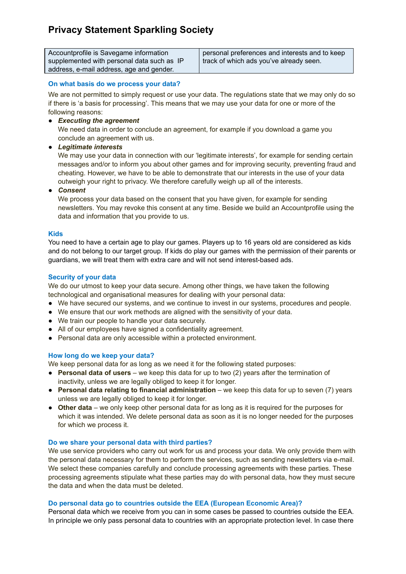# **Privacy Statement Sparkling Society**

| Accountprofile is Savegame information     | personal preferences and interests and to keep |
|--------------------------------------------|------------------------------------------------|
| supplemented with personal data such as IP | track of which ads you've already seen.        |
| address, e-mail address, age and gender.   |                                                |

## **On what basis do we process your data?**

We are not permitted to simply request or use your data. The regulations state that we may only do so if there is 'a basis for processing'. This means that we may use your data for one or more of the following reasons:

● *Executing the agreement*

We need data in order to conclude an agreement, for example if you download a game you conclude an agreement with us.

● *Legitimate interests*

We may use your data in connection with our 'legitimate interests', for example for sending certain messages and/or to inform you about other games and for improving security, preventing fraud and cheating. However, we have to be able to demonstrate that our interests in the use of your data outweigh your right to privacy. We therefore carefully weigh up all of the interests.

● *Consent*

We process your data based on the consent that you have given, for example for sending newsletters. You may revoke this consent at any time. Beside we build an Accountprofile using the data and information that you provide to us.

## **Kids**

You need to have a certain age to play our games. Players up to 16 years old are considered as kids and do not belong to our target group. If kids do play our games with the permission of their parents or guardians, we will treat them with extra care and will not send interest-based ads.

## **Security of your data**

We do our utmost to keep your data secure. Among other things, we have taken the following technological and organisational measures for dealing with your personal data:

- We have secured our systems, and we continue to invest in our systems, procedures and people.
- We ensure that our work methods are aligned with the sensitivity of your data.
- We train our people to handle your data securely.
- All of our employees have signed a confidentiality agreement.
- Personal data are only accessible within a protected environment.

# **How long do we keep your data?**

We keep personal data for as long as we need it for the following stated purposes:

- **Personal data of users** we keep this data for up to two (2) years after the termination of inactivity, unless we are legally obliged to keep it for longer.
- **Personal data relating to financial administration** we keep this data for up to seven (7) years unless we are legally obliged to keep it for longer.
- **Other data** we only keep other personal data for as long as it is required for the purposes for which it was intended. We delete personal data as soon as it is no longer needed for the purposes for which we process it.

## **Do we share your personal data with third parties?**

We use service providers who carry out work for us and process your data. We only provide them with the personal data necessary for them to perform the services, such as sending newsletters via e-mail. We select these companies carefully and conclude processing agreements with these parties. These processing agreements stipulate what these parties may do with personal data, how they must secure the data and when the data must be deleted.

# **Do personal data go to countries outside the EEA (European Economic Area)?**

Personal data which we receive from you can in some cases be passed to countries outside the EEA. In principle we only pass personal data to countries with an appropriate protection level. In case there